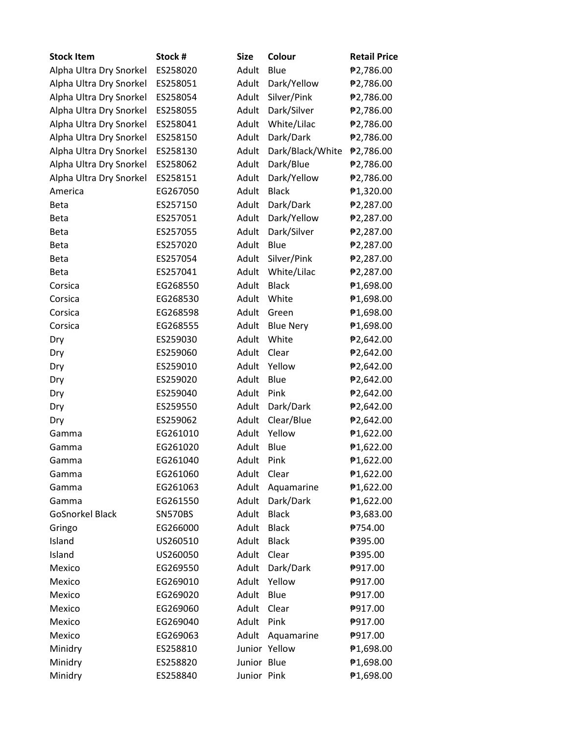| <b>Stock Item</b>       | Stock #        | Size        | Colour           | <b>Retail Price</b> |
|-------------------------|----------------|-------------|------------------|---------------------|
| Alpha Ultra Dry Snorkel | ES258020       | Adult       | Blue             | ₱2,786.00           |
| Alpha Ultra Dry Snorkel | ES258051       | Adult       | Dark/Yellow      | ₱2,786.00           |
| Alpha Ultra Dry Snorkel | ES258054       | Adult       | Silver/Pink      | ₱2,786.00           |
| Alpha Ultra Dry Snorkel | ES258055       | Adult       | Dark/Silver      | ₱2,786.00           |
| Alpha Ultra Dry Snorkel | ES258041       | Adult       | White/Lilac      | ₱2,786.00           |
| Alpha Ultra Dry Snorkel | ES258150       | Adult       | Dark/Dark        | ₱2,786.00           |
| Alpha Ultra Dry Snorkel | ES258130       | Adult       | Dark/Black/White | ₱2,786.00           |
| Alpha Ultra Dry Snorkel | ES258062       | Adult       | Dark/Blue        | ₱2,786.00           |
| Alpha Ultra Dry Snorkel | ES258151       | Adult       | Dark/Yellow      | ₱2,786.00           |
| America                 | EG267050       | Adult       | <b>Black</b>     | ₱1,320.00           |
| <b>Beta</b>             | ES257150       | Adult       | Dark/Dark        | ₱2,287.00           |
| <b>Beta</b>             | ES257051       | Adult       | Dark/Yellow      | ₱2,287.00           |
| <b>Beta</b>             | ES257055       | Adult       | Dark/Silver      | ₱2,287.00           |
| Beta                    | ES257020       | Adult       | Blue             | ₱2,287.00           |
| <b>Beta</b>             | ES257054       | Adult       | Silver/Pink      | ₱2,287.00           |
| <b>Beta</b>             | ES257041       | Adult       | White/Lilac      | ₱2,287.00           |
| Corsica                 | EG268550       | Adult       | <b>Black</b>     | ₱1,698.00           |
| Corsica                 | EG268530       | Adult       | White            | ₱1,698.00           |
| Corsica                 | EG268598       | Adult       | Green            | ₱1,698.00           |
| Corsica                 | EG268555       | Adult       | <b>Blue Nery</b> | ₱1,698.00           |
| Dry                     | ES259030       | Adult       | White            | ₱2,642.00           |
| Dry                     | ES259060       | Adult       | Clear            | ₱2,642.00           |
| Dry                     | ES259010       | Adult       | Yellow           | ₱2,642.00           |
| Dry                     | ES259020       | Adult       | Blue             | ₱2,642.00           |
| Dry                     | ES259040       | Adult       | Pink             | ₱2,642.00           |
| Dry                     | ES259550       | Adult       | Dark/Dark        | ₱2,642.00           |
| Dry                     | ES259062       | Adult       | Clear/Blue       | ₱2,642.00           |
| Gamma                   | EG261010       | Adult       | Yellow           | ₱1,622.00           |
| Gamma                   | EG261020       | Adult       | Blue             | ₱1,622.00           |
| Gamma                   | EG261040       | Adult       | Pink             | ₱1,622.00           |
| Gamma                   | EG261060       | Adult Clear |                  | ₱1,622.00           |
| Gamma                   | EG261063       | Adult       | Aquamarine       | ₱1,622.00           |
| Gamma                   | EG261550       | Adult       | Dark/Dark        | ₱1,622.00           |
| <b>GoSnorkel Black</b>  | <b>SN570BS</b> | Adult       | <b>Black</b>     | ₱3,683.00           |
| Gringo                  | EG266000       | Adult       | <b>Black</b>     | ₱754.00             |
| Island                  | US260510       | Adult       | <b>Black</b>     | ₱395.00             |
| Island                  | US260050       | Adult       | Clear            | ₱395.00             |
| Mexico                  | EG269550       | Adult       | Dark/Dark        | ₱917.00             |
| Mexico                  | EG269010       | Adult       | Yellow           | ₱917.00             |
| Mexico                  | EG269020       | Adult       | Blue             | ₱917.00             |
| Mexico                  | EG269060       | Adult       | Clear            | ₱917.00             |
| Mexico                  | EG269040       | Adult Pink  |                  | ₱917.00             |
| Mexico                  | EG269063       | Adult       | Aquamarine       | ₱917.00             |
| Minidry                 | ES258810       |             | Junior Yellow    | ₱1,698.00           |
| Minidry                 | ES258820       | Junior Blue |                  | ₱1,698.00           |
| Minidry                 | ES258840       | Junior Pink |                  | ₱1,698.00           |